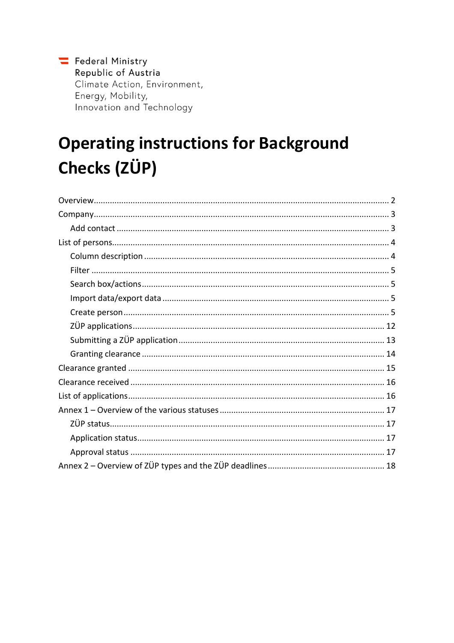Federal Ministry Republic of Austria Climate Action, Environment, Energy, Mobility, Innovation and Technology

# **Operating instructions for Background Checks (ZÜP)**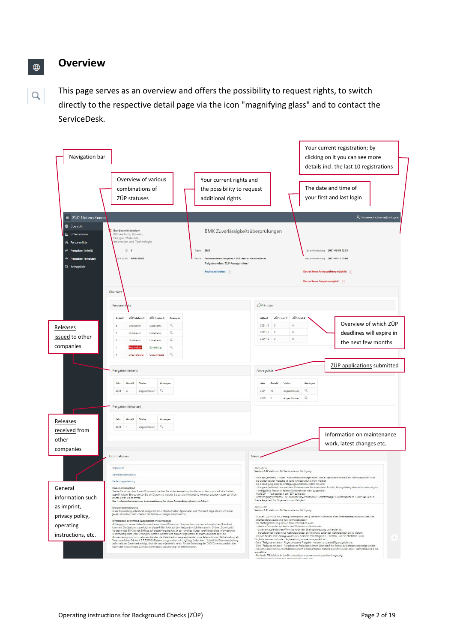#### <span id="page-1-0"></span>**Overview**

 $\bigoplus$ 

Q

This page serves as an overview and offers the possibility to request rights, to switch directly to the respective detail page via the icon "magnifying glass" and to contact the ServiceDesk.

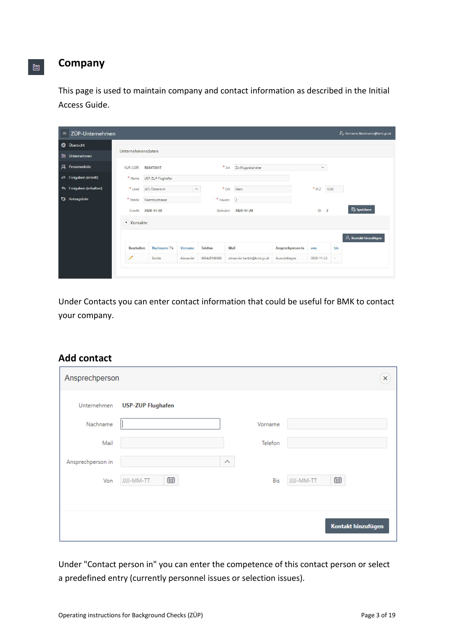#### <span id="page-2-0"></span>**Company**

 $\begin{bmatrix} \mathbf{M} \\ \mathbf{M} \end{bmatrix}$ 

This page is used to maintain company and contact information as described in the Initial Access Guide.

| $\equiv$      | ZÜP-Unternehmen                      |                                                                        |                   |           |                   |         |                            |               |                      |        | P. Vorname.Nachname@bmk.gv.at |
|---------------|--------------------------------------|------------------------------------------------------------------------|-------------------|-----------|-------------------|---------|----------------------------|---------------|----------------------|--------|-------------------------------|
|               | <b>D</b> Übersicht                   | Unternehmensdaten                                                      |                   |           |                   |         |                            |               |                      |        |                               |
| $\mathbb{H}$  | Unternehmen                          |                                                                        |                   |           |                   |         |                            |               |                      |        |                               |
|               | R Personenliste                      | <b>KUR (USP)</b>                                                       | R654T561T         |           |                   | $*$ Art | Zivilflugplatzhalter       |               | $\checkmark$         |        |                               |
| $\Rightarrow$ | Freigaben (erteilt)                  | * Name                                                                 | USP-ZUP Flughafen |           |                   |         |                            |               |                      |        |                               |
|               | <sup>&lt;</sup> Freigaben (erhalten) | * Land                                                                 | (AT) Österreich   | $\wedge$  |                   | * Ort   | Wien                       |               | * PLZ                | 1030   |                               |
|               | Antragsliste                         | * Straße                                                               | Radetzkystrasse   |           | * Hausnr.         |         | $\overline{2}$             |               |                      |        |                               |
|               |                                      | Erstellt                                                               | 2020-11-20        |           | Geändert          |         | 2020-11-20                 |               | ID<br>$\overline{2}$ |        | <b>E</b> Speichern            |
|               |                                      | <b>v</b> Kontakte                                                      |                   |           |                   |         |                            |               |                      |        |                               |
|               |                                      |                                                                        |                   |           |                   |         |                            |               |                      |        | $\beta_+$ Kontakt hinzufügen  |
|               |                                      | Nachname ↑ =<br><b>Bearbeiten</b><br>Vorname<br><b>Telefon</b><br>Mail |                   |           | Ansprechperson in | von     | bis                        |               |                      |        |                               |
|               |                                      | Í                                                                      | Bartek            | Alexander | 0664/8188886      |         | alexander.bartek@bmk.gv.at | Ausweisfragen | 2020-11-23           | $\sim$ |                               |
|               |                                      |                                                                        |                   |           |                   |         |                            |               |                      |        |                               |

Under Contacts you can enter contact information that could be useful for BMK to contact your company.

#### <span id="page-2-1"></span>**Add contact**

| Ansprechperson    |                          |          |         |            | $\boldsymbol{\times}$ |
|-------------------|--------------------------|----------|---------|------------|-----------------------|
| Unternehmen       | <b>USP-ZUP Flughafen</b> |          |         |            |                       |
| Nachname          |                          |          | Vorname |            |                       |
| Mail              |                          |          | Telefon |            |                       |
| Ansprechperson in |                          | $\wedge$ |         |            |                       |
| Von               | 曲<br>JJJJ-MM-TT          |          | Bis     | JJJJ-MM-TT | 曲                     |
|                   |                          |          |         |            |                       |
|                   |                          |          |         |            | Kontakt hinzufügen    |

Under "Contact person in" you can enter the competence of this contact person or select a predefined entry (currently personnel issues or selection issues).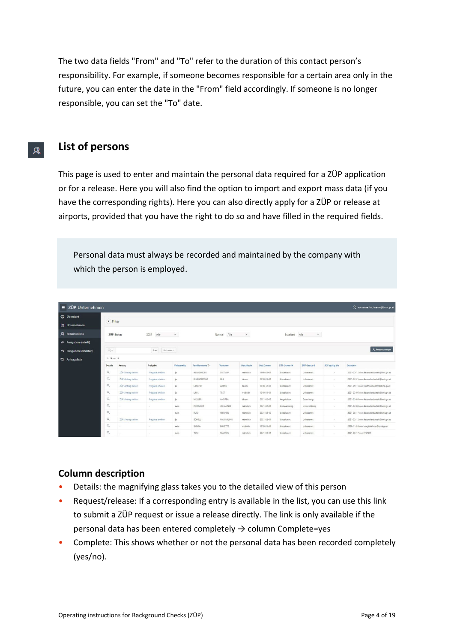The two data fields "From" and "To" refer to the duration of this contact person's responsibility. For example, if someone becomes responsible for a certain area only in the future, you can enter the date in the "From" field accordingly. If someone is no longer responsible, you can set the "To" date.

#### <span id="page-3-0"></span>**List of persons**  $\mathcal{R}$

This page is used to enter and maintain the personal data required for a ZÜP application or for a release. Here you will also find the option to import and export mass data (if you have the corresponding rights). Here you can also directly apply for a ZÜP or release at airports, provided that you have the right to do so and have filled in the required fields.

Personal data must always be recorded and maintained by the company with which the person is employed.

| $\equiv$ ZÜP-Unternehmen | P Vorname.Nachname@bmk.gv.at |                    |                   |              |                 |                 |              |            |               |                      |                |                                            |
|--------------------------|------------------------------|--------------------|-------------------|--------------|-----------------|-----------------|--------------|------------|---------------|----------------------|----------------|--------------------------------------------|
| <b>D</b> Ubersicht       |                              |                    |                   |              |                 |                 |              |            |               |                      |                |                                            |
| Unternehmen              | <b>v</b> Filter              |                    |                   |              |                 |                 |              |            |               |                      |                |                                            |
| R Personenliste          | ZÜP-Status                   |                    | Alle<br>2024      | $\checkmark$ |                 | Alle<br>Normal  | $\checkmark$ |            | Erweitert     | Alle<br>$\checkmark$ |                |                                            |
| Freigaben (erteilt)      |                              |                    |                   |              |                 |                 |              |            |               |                      |                |                                            |
| ← Freigaben (erhalten)   | $Q -$                        |                    | Aktionen v<br>Los |              |                 |                 |              |            |               |                      |                | $P_+$ Person anlegen                       |
| Antragsliste             | $1 - 14$ von $14$            |                    |                   |              |                 |                 |              |            |               |                      |                |                                            |
|                          | <b>Details</b>               | Antrag             | Freigabe          | Vollständig  | Familienname T= | Vorname         | Geschlecht   | Geb.Datum  | ZÜP-Status-N  | ZÜP-Status-E         | SÜP gültig bis | Geändert                                   |
|                          | $\alpha$                     | ZÜP-Antrag stellen | Freigabe erteilen | ja           | ABLEIDINGER     | DIETMAR         | männlich     | 1966-01-01 | Unbekannt     | Unbekannt            | $\sim$         | 2021-03-12 von alexander.bartek@bmk.gv.at  |
|                          | $\hbox{\tt Q}$               | ZÜP-Antrag stellen | Freigabe erteilen | ja           | BLUBSDDDSSD     | BLA             | divers       | 1010-01-01 | Unbekannt     | Unbekannt            | $\sim$         | 2021-02-25 von alexander.bartek@bmlk.gv.at |
|                          | $\alpha$                     | ZÜP-Antrag stellen | Freigabe erteilen | ja           | LASCHET         | ARMIN           | divers       | 1978-12-03 | Unbekannt     | Unbekannt            | $\sim$         | 2021-09-15 von Matthias.Boehm@bmk.gv.at    |
|                          | $\mathbb Q$                  | ZÜP-Antrag stellen | Freigabe erteilen | ja           | <b>LIMA</b>     | TEST            | weiblich     | 1010-01-01 | Unbekannt     | Unbekannt            | $\sim$         | 2021-03-05 von alexander.bartek@bmk.gv.at  |
|                          | Q                            | ZÜP-Antrag stellen | Freigabe erteilen | ja           | MÜLLER          | ANDREA          | divers:      | 2021-02-08 | Angehalten    | Zuverlässig          | $\sim$         | 2021-03-05 von alexander.bartek@bmk.gv.at  |
|                          | $\alpha$                     |                    | ×.                | nein         | PIERINGER       | <b>JOHANNES</b> | männlich     | 2021-02-01 | Unzuverlässig | Unzuverlässig        | $\sim$         | 2021-02-08 von alexander.bartek@bmk.gv.at  |
|                          | $\alpha$                     |                    | $\sim$            | nein         | <b>RUDI</b>     | WERNER          | männlich     | 2021-02-02 | Unbekannt     | Unbekannt            | $\sim$         | 2021-08-17 von alexander.bartek@bmk.gv.at  |
|                          | Q                            | ZÜP-Antrag stellen | Freigabe erteilen | ja           | SCHELL          | MAXIMILIAN      | männlich     | 2021-02-01 | Unbekannt     | Unbekannt            | $\sim$         | 2021-02-12 von alexander.bartek@bmk.gv.at  |
|                          | Q                            |                    | $\sim$            | nein         | SKODA           | BRIGITTE        | weiblich     | 1970-01-01 | Unbekannt     | Unbekannt            | $\sim$         | 2020-11-24 von Margit Winter@bmk.gv.at     |
|                          | $\alpha$                     |                    | $\sim$            | nein         | TONI            | MARKUS          | männlich     | 2021-03-01 | Unbekannt     | Unbekannt            | $\sim$         | 2021-08-17 von SYSTEM                      |

#### <span id="page-3-1"></span>**Column description**

- Details: the magnifying glass takes you to the detailed view of this person
- Request/release: If a corresponding entry is available in the list, you can use this link to submit a ZÜP request or issue a release directly. The link is only available if the personal data has been entered completely  $\rightarrow$  column Complete=yes
- Complete: This shows whether or not the personal data has been recorded completely (yes/no).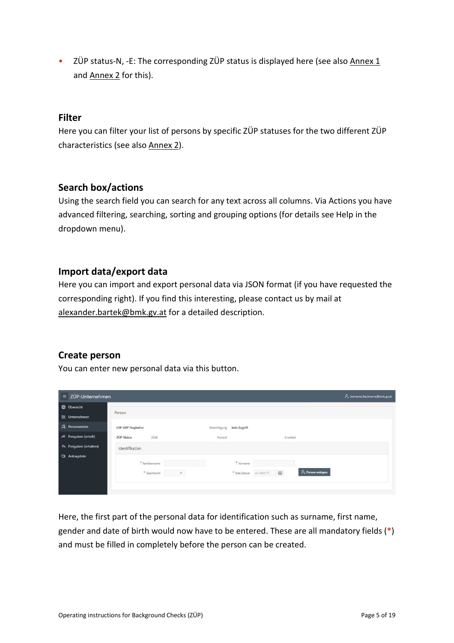<span id="page-4-0"></span>• ZÜP status-N, -E: The corresponding ZÜP status is displayed here (see also [Annex 1](#page-16-0) and [Annex 2](#page-17-0) for this).

#### **Filter**

Here you can filter your list of persons by specific ZÜP statuses for the two different ZÜP characteristics (see also [Annex 2\)](#page-17-0).

#### <span id="page-4-1"></span>**Search box/actions**

Using the search field you can search for any text across all columns. Via Actions you have advanced filtering, searching, sorting and grouping options (for details see Help in the dropdown menu).

#### <span id="page-4-2"></span>**Import data/export data**

Here you can import and export personal data via JSON format (if you have requested the corresponding right). If you find this interesting, please contact us by mail at [alexander.bartek@bmk.gv.at](mailto:alexander.bartek@bmk.gv.at) for a detailed description.

#### <span id="page-4-3"></span>**Create person**

You can enter new personal data via this button.

| $\equiv$ | ZÜP-Unternehmen                   |                                                |                                                      | P Vorname.Nachname@bmk.gv.at   |
|----------|-----------------------------------|------------------------------------------------|------------------------------------------------------|--------------------------------|
|          | <b>D</b> Übersicht                |                                                |                                                      |                                |
|          | Unternehmen                       | Person                                         |                                                      |                                |
|          | R Personenliste                   | USP-ZUP Flughafen                              | kein Zugriff<br>Berechtigung                         |                                |
|          | $\Rightarrow$ Freigaben (erteilt) | 2024<br>ZÜP-Status                             | Normal<br>Erweitert                                  |                                |
|          | Freigaben (erhalten)              | Identifikation                                 |                                                      |                                |
|          | Antragsliste                      | * Familienname<br>* Geschlecht<br>$\checkmark$ | * Vorname<br>$\boxplus$<br>* Geb.Datum<br>JJJJ-MM-TT | $\mathcal{P}_+$ Person anlegen |

Here, the first part of the personal data for identification such as surname, first name, gender and date of birth would now have to be entered. These are all mandatory fields (**\***) and must be filled in completely before the person can be created.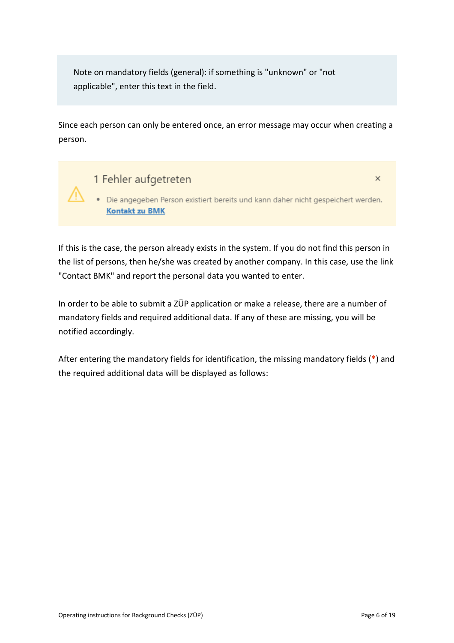Note on mandatory fields (general): if something is "unknown" or "not applicable", enter this text in the field.

Since each person can only be entered once, an error message may occur when creating a person.

- 1 Fehler aufgetreten
- · Die angegeben Person existiert bereits und kann daher nicht gespeichert werden. **Kontakt zu BMK**

If this is the case, the person already exists in the system. If you do not find this person in the list of persons, then he/she was created by another company. In this case, use the link "Contact BMK" and report the personal data you wanted to enter.

In order to be able to submit a ZÜP application or make a release, there are a number of mandatory fields and required additional data. If any of these are missing, you will be notified accordingly.

After entering the mandatory fields for identification, the missing mandatory fields (**\***) and the required additional data will be displayed as follows:

 $\times$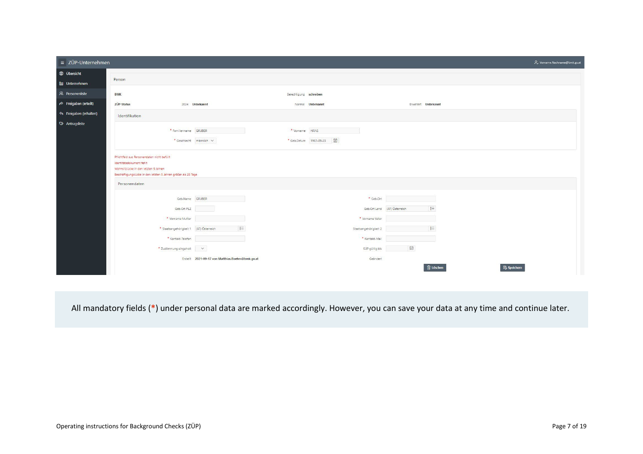| $\equiv$ ZÜP-Unternehmen          |                                                                                                                                                      |                                                  |                                              |                              |                                   | P. Vorname.Nachname@bmk.gv.at |
|-----------------------------------|------------------------------------------------------------------------------------------------------------------------------------------------------|--------------------------------------------------|----------------------------------------------|------------------------------|-----------------------------------|-------------------------------|
| <b>D</b> Übersicht<br>Unternehmen | Person                                                                                                                                               |                                                  |                                              |                              |                                   |                               |
| R Personenliste                   | <b>BMK</b>                                                                                                                                           |                                                  | Berechtigung schreiben                       |                              |                                   |                               |
| P Freigaben (erteilt)             | ZÜP-Status                                                                                                                                           | 2024 Unbekannt                                   | Normal <b>Unbekannt</b>                      |                              | Erweitert Unbekannt               |                               |
| <b>Sand Freigaben (erhalten)</b>  | Identifikation                                                                                                                                       |                                                  |                                              |                              |                                   |                               |
| Antragsliste                      | * Familienname GRUBER                                                                                                                                | * Geschlecht männlich v                          | * Vomame HANS<br>固<br>* Geb.Datum 1967-09-23 |                              |                                   |                               |
|                                   | Identitätsdokument fehlt<br>Wohnsitzlücke in den letzten 5 Jahren<br>Beschäftigungslücke in den letzten 5 Jahren größer als 28 Tage<br>Personendaten |                                                  |                                              |                              |                                   |                               |
|                                   |                                                                                                                                                      | Geb.Name GRUBER                                  |                                              | * Geb.Ort                    |                                   |                               |
|                                   | Geb.Ort PLZ                                                                                                                                          |                                                  |                                              | Geb.Ort Land (AT) Österreich | $\S \equiv$                       |                               |
|                                   | * Vorname Mutter                                                                                                                                     |                                                  |                                              | * Vorname Vater              |                                   |                               |
|                                   | * Staatsangehörigkeit 1 (AT) Österreich                                                                                                              | $\substack{0\\0\\0}$ .                           |                                              | Staatsangehörigkeit 2        | $\overline{\S} \equiv$            |                               |
|                                   | * Kontakt-Telefon                                                                                                                                    |                                                  |                                              | * Kontakt-Mail               |                                   |                               |
|                                   | * Zustimmung eingeholt                                                                                                                               | $\mathbf{v}$                                     |                                              | SÜP gültig bis               | $\qquad \qquad \boxdot$           |                               |
|                                   |                                                                                                                                                      | Erstellt 2021-09-17 von Matthias.Boehm@bmk.gv.at |                                              | Geändert                     | U Löschen<br><b>E</b> , Speichern |                               |

All mandatory fields (**\***) under personal data are marked accordingly. However, you can save your data at any time and continue later.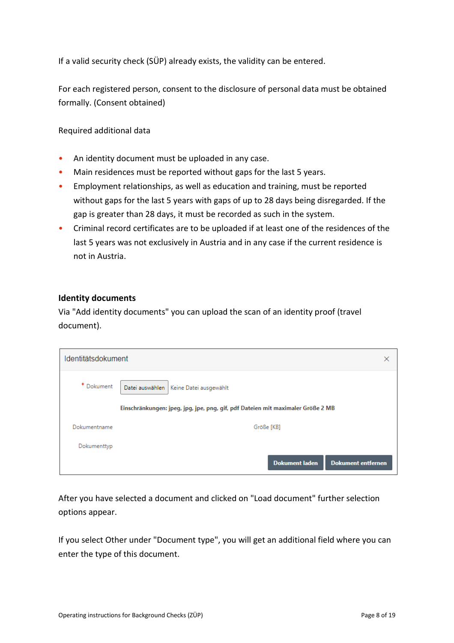If a valid security check (SÜP) already exists, the validity can be entered.

For each registered person, consent to the disclosure of personal data must be obtained formally. (Consent obtained)

Required additional data

- An identity document must be uploaded in any case.
- Main residences must be reported without gaps for the last 5 years.
- Employment relationships, as well as education and training, must be reported without gaps for the last 5 years with gaps of up to 28 days being disregarded. If the gap is greater than 28 days, it must be recorded as such in the system.
- Criminal record certificates are to be uploaded if at least one of the residences of the last 5 years was not exclusively in Austria and in any case if the current residence is not in Austria.

#### **Identity documents**

Via "Add identity documents" you can upload the scan of an identity proof (travel document).

| <b>Identifätsdokument</b> |                                                                                 | × |
|---------------------------|---------------------------------------------------------------------------------|---|
| * Dokument                | Datei auswählen   Keine Datei ausgewählt                                        |   |
|                           | Einschränkungen: jpeg, jpg, jpe, png, gif, pdf Dateien mit maximaler Größe 2 MB |   |
| Dokumentname              | Größe [KB]                                                                      |   |
| Dokumenttyp               |                                                                                 |   |
|                           | <b>Dokument laden</b><br><b>Dokument entfernen</b>                              |   |

After you have selected a document and clicked on "Load document" further selection options appear.

If you select Other under "Document type", you will get an additional field where you can enter the type of this document.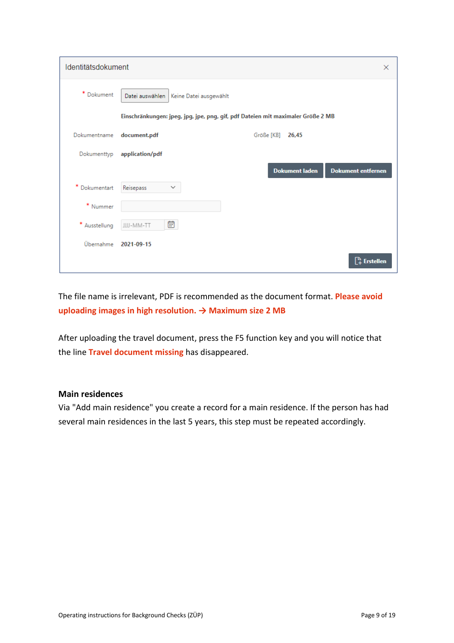| Identitätsdokument<br>$\times$ |                                                                                 |                                                    |  |  |  |  |  |  |  |
|--------------------------------|---------------------------------------------------------------------------------|----------------------------------------------------|--|--|--|--|--|--|--|
| * Dokument                     | Datei auswählen                                                                 | Keine Datei ausgewählt                             |  |  |  |  |  |  |  |
|                                | Einschränkungen: jpeg, jpg, jpe, png, gif, pdf Dateien mit maximaler Größe 2 MB |                                                    |  |  |  |  |  |  |  |
| Dokumentname                   | document.pdf                                                                    | Größe [KB] 26,45                                   |  |  |  |  |  |  |  |
|                                | Dokumenttyp application/pdf                                                     |                                                    |  |  |  |  |  |  |  |
|                                |                                                                                 | <b>Dokument entfernen</b><br><b>Dokument laden</b> |  |  |  |  |  |  |  |
| * Dokumentart                  | Reisepass<br>$\checkmark$                                                       |                                                    |  |  |  |  |  |  |  |
| * Nummer                       |                                                                                 |                                                    |  |  |  |  |  |  |  |
| * Ausstellung                  | 崮<br>JJJJ-MM-TT                                                                 |                                                    |  |  |  |  |  |  |  |
|                                | Übernahme 2021-09-15                                                            |                                                    |  |  |  |  |  |  |  |
|                                |                                                                                 | $\mathbb{R}$ Erstellen                             |  |  |  |  |  |  |  |

The file name is irrelevant, PDF is recommended as the document format. **Please avoid uploading images in high resolution. → Maximum size 2 MB**

After uploading the travel document, press the F5 function key and you will notice that the line **Travel document missing** has disappeared.

#### **Main residences**

Via "Add main residence" you create a record for a main residence. If the person has had several main residences in the last 5 years, this step must be repeated accordingly.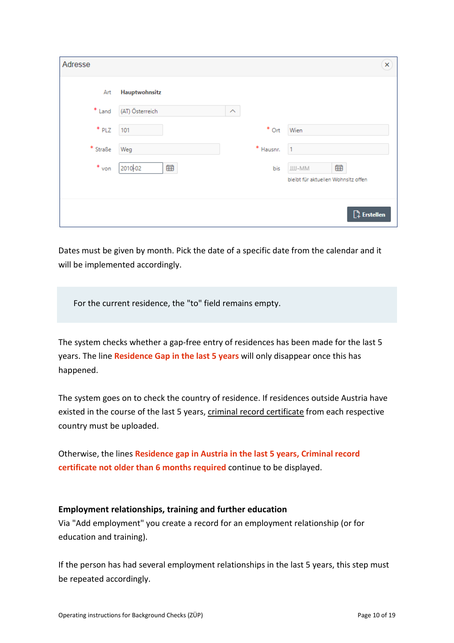| Adresse    |                 |                     |             | $\mathbf{x})$                       |
|------------|-----------------|---------------------|-------------|-------------------------------------|
| Art        | Hauptwohnsitz   |                     |             |                                     |
| $*$ Land   | (AT) Österreich | $\hat{\phantom{1}}$ |             |                                     |
| $*$ PLZ    | 101             |                     | $*$ Ort     | Wien                                |
| $*$ Straße | Weg             |                     | $*$ Hausnr. | $\mathbf{1}$                        |
| $*$ von    | 2010-02<br>曲    |                     | bis         | 曲<br>JJJ-MM                         |
|            |                 |                     |             | bleibt für aktuellen Wohnsitz offen |
|            |                 |                     |             | $\mathbb{R}$ Erstellen              |

Dates must be given by month. Pick the date of a specific date from the calendar and it will be implemented accordingly.

For the current residence, the "to" field remains empty.

The system checks whether a gap-free entry of residences has been made for the last 5 years. The line **Residence Gap in the last 5 years** will only disappear once this has happened.

The system goes on to check the country of residence. If residences outside Austria have existed in the course of the last 5 years, [criminal record certificate](#page-10-0) from each respective country must be uploaded.

Otherwise, the lines **Residence gap in Austria in the last 5 years, Criminal record certificate not older than 6 months required** continue to be displayed.

#### **Employment relationships, training and further education**

Via "Add employment" you create a record for an employment relationship (or for education and training).

If the person has had several employment relationships in the last 5 years, this step must be repeated accordingly.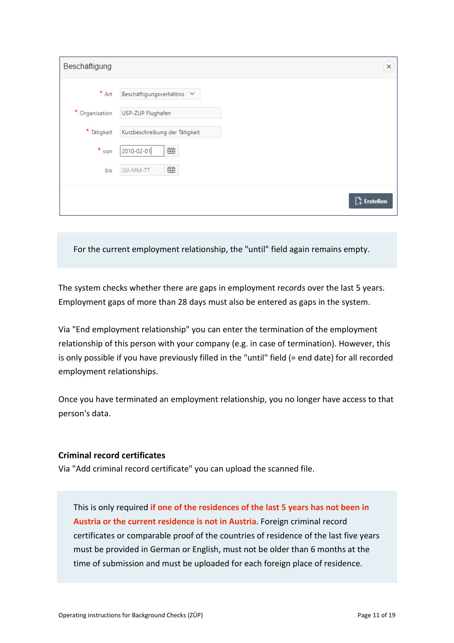| Beschäftigung  |                                 |                        | × |
|----------------|---------------------------------|------------------------|---|
| $*$ Art        | Beschäftigungsverhältnis $\lor$ |                        |   |
| * Organisation | USP-ZUP Flughafen               |                        |   |
| $*$ Tätigkeit  | Kurzbeschreibung der Tätigkeit  |                        |   |
| $*$ von        | 曲<br>2010-02-01                 |                        |   |
| bis            | 锚<br>JJJJ-MM-TT                 |                        |   |
|                |                                 | $\mathbb{R}$ Erstellen |   |

For the current employment relationship, the "until" field again remains empty.

The system checks whether there are gaps in employment records over the last 5 years. Employment gaps of more than 28 days must also be entered as gaps in the system.

Via "End employment relationship" you can enter the termination of the employment relationship of this person with your company (e.g. in case of termination). However, this is only possible if you have previously filled in the "until" field (= end date) for all recorded employment relationships.

Once you have terminated an employment relationship, you no longer have access to that person's data.

#### <span id="page-10-0"></span>**Criminal record certificates**

Via "Add criminal record certificate" you can upload the scanned file.

This is only required **if one of the residences of the last 5 years has not been in Austria or the current residence is not in Austria**. Foreign criminal record certificates or comparable proof of the countries of residence of the last five years must be provided in German or English, must not be older than 6 months at the time of submission and must be uploaded for each foreign place of residence.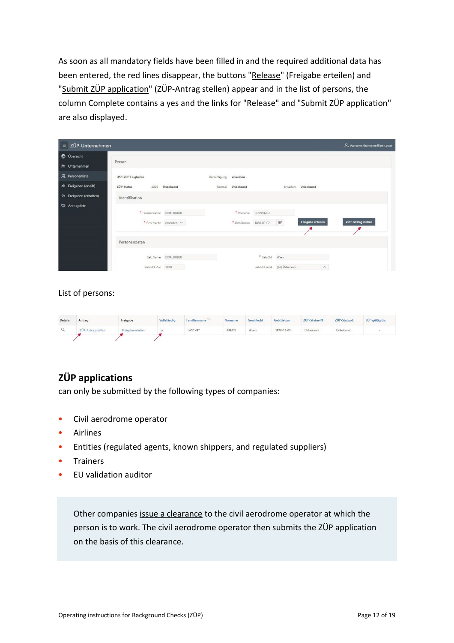As soon as all mandatory fields have been filled in and the required additional data has been entered, the red lines disappear, the buttons ["Release"](#page-13-0) (Freigabe erteilen) and ["Submit ZÜP application"](#page-12-0) (ZÜP-Antrag stellen) appear and in the list of persons, the column Complete contains a yes and the links for "Release" and "Submit ZÜP application" are also displayed.

| $\equiv$ ZÜP-Unternehmen              |                           |                     |              |             |              |                 |                   |                         | & Vorname.Nachname@bmk.gv.at |
|---------------------------------------|---------------------------|---------------------|--------------|-------------|--------------|-----------------|-------------------|-------------------------|------------------------------|
| <b>D</b> Übersicht                    |                           |                     |              |             |              |                 |                   |                         |                              |
| <b>Lig</b> Unternehmen                | Person                    |                     |              |             |              |                 |                   |                         |                              |
| R Personenliste                       | <b>USP-ZUP Flughafen</b>  |                     | Berechtigung | schreiben   |              |                 |                   |                         |                              |
| $\leftrightarrow$ Freigaben (erteilt) | ZÜP-Status<br>2024        | Unbekannt           | Normal       | Unbekannt   |              | Erweitert       | Unbekannt         |                         |                              |
| <sup>&lt;</sup> Freigaben (erhalten)  | Identifikation            |                     |              |             |              |                 |                   |                         |                              |
| Antragsliste                          |                           |                     |              |             |              |                 |                   |                         |                              |
|                                       | * Familienname BIRKLHUBER |                     |              | * Vorname   | BERNHARD     |                 |                   |                         |                              |
|                                       | * Geschlecht männlich v   |                     |              | * Geb.Datum | 1866-02-02   | $\boxplus$      | Freigabe erteilen |                         | ZÜP-Antrag stellen           |
|                                       |                           |                     |              |             |              |                 |                   |                         |                              |
|                                       | Personendaten             |                     |              |             |              |                 |                   |                         |                              |
|                                       |                           | Geb.Name BIRKLHUBER |              |             | * Geb.Ort    | Wien            |                   |                         |                              |
|                                       | Geb.Ort PLZ 1010          |                     |              |             | Geb.Ort Land | (AT) Österreich |                   | $\widehat{\phantom{a}}$ |                              |
|                                       |                           |                     |              |             |              |                 |                   |                         |                              |

#### List of persons:

| <b>Details</b> | Antrag             | Freigabe          | Vollständig | Familienname T=         | Vorname | Geschlecht | Geb.Datum  | <b>ZUP-Status-N</b> | <b>ZUP-Status-E</b> | SUP gültig bis |
|----------------|--------------------|-------------------|-------------|-------------------------|---------|------------|------------|---------------------|---------------------|----------------|
|                | ZÜP-Antrag stellen | Freigabe erteilen |             | 2020/02/2016<br>LASCHET | ARMIN   | divers     | 1978-12-03 | Unbekannt           | Unbekannt           | . .            |
|                |                    |                   |             |                         |         |            |            |                     |                     |                |

## <span id="page-11-0"></span>**ZÜP applications**

can only be submitted by the following types of companies:

- Civil aerodrome operator
- **Airlines**
- Entities (regulated agents, known shippers, and regulated suppliers)
- **Trainers**
- EU validation auditor

Other companies [issue a clearance](#page-13-0) to the civil aerodrome operator at which the person is to work. The civil aerodrome operator then submits the ZÜP application on the basis of this clearance.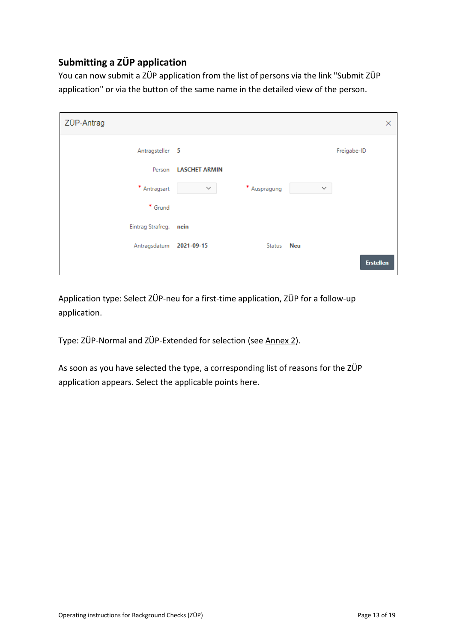## <span id="page-12-0"></span>**Submitting a ZÜP application**

You can now submit a ZÜP application from the list of persons via the link "Submit ZÜP application" or via the button of the same name in the detailed view of the person.

| ZÜP-Antrag             |                      |              |              | ×                |
|------------------------|----------------------|--------------|--------------|------------------|
| Antragsteller 5        |                      |              |              | Freigabe-ID      |
| Person                 | <b>LASCHET ARMIN</b> |              |              |                  |
| * Antragsart           | $\checkmark$         | * Ausprägung | $\checkmark$ |                  |
| * Grund                |                      |              |              |                  |
| Eintrag Strafreg. nein |                      |              |              |                  |
| Antragsdatum           | 2021-09-15           | Status Neu   |              |                  |
|                        |                      |              |              | <b>Erstellen</b> |

Application type: Select ZÜP-neu for a first-time application, ZÜP for a follow-up application.

Type: ZÜP-Normal and ZÜP-Extended for selection (se[e Annex 2\)](#page-17-0).

As soon as you have selected the type, a corresponding list of reasons for the ZÜP application appears. Select the applicable points here.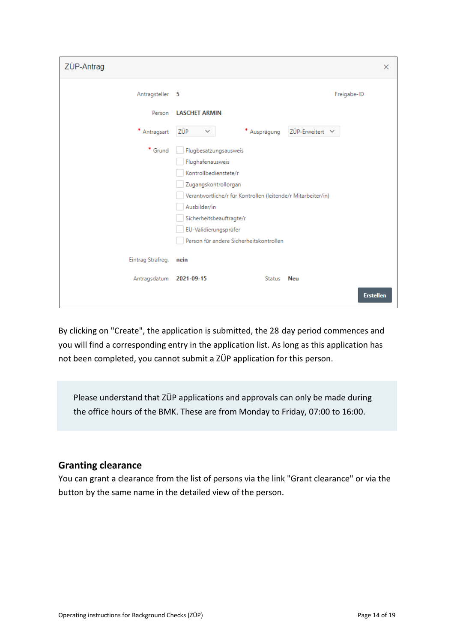| ZÜP-Antrag        |                                                                                                                                                                                                                                 | $\times$ |
|-------------------|---------------------------------------------------------------------------------------------------------------------------------------------------------------------------------------------------------------------------------|----------|
| Antragsteller 5   | Freigabe-ID                                                                                                                                                                                                                     |          |
| Person            | <b>LASCHET ARMIN</b>                                                                                                                                                                                                            |          |
| * Antragsart      | * Ausprägung<br>ZÜP-Erweitert $\vee$<br>ZÜP<br>$\checkmark$                                                                                                                                                                     |          |
| * Grund           | Flugbesatzungsausweis<br>Flughafenausweis<br>Kontrollbedienstete/r<br>Zugangskontrollorgan<br>Verantwortliche/r für Kontrollen (leitende/r Mitarbeiter/in)<br>Ausbilder/in<br>Sicherheitsbeauftragte/r<br>EU-Validierungsprüfer |          |
| Eintrag Strafreg. | Person für andere Sicherheitskontrollen<br>nein                                                                                                                                                                                 |          |
| Antragsdatum      | 2021-09-15<br>Status<br><b>Neu</b><br><b>Erstellen</b>                                                                                                                                                                          |          |

By clicking on "Create", the application is submitted, the 28 day period commences and you will find a corresponding entry in the application list. As long as this application has not been completed, you cannot submit a ZÜP application for this person.

Please understand that ZÜP applications and approvals can only be made during the office hours of the BMK. These are from Monday to Friday, 07:00 to 16:00.

#### <span id="page-13-0"></span>**Granting clearance**

You can grant a clearance from the list of persons via the link "Grant clearance" or via the button by the same name in the detailed view of the person.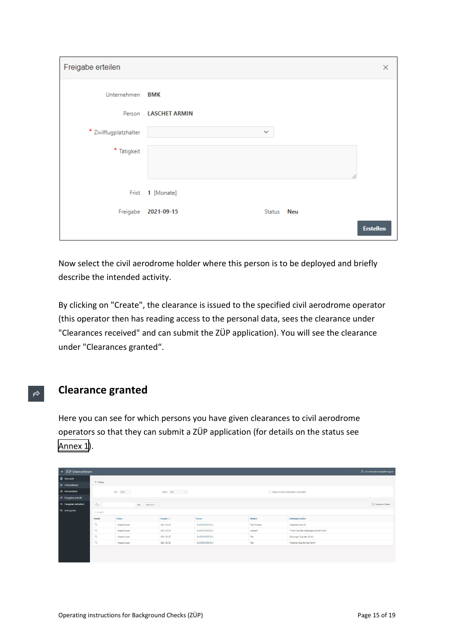| Freigabe erteilen      |                                   | $\times$         |
|------------------------|-----------------------------------|------------------|
| Unternehmen BMK        |                                   |                  |
|                        | Person LASCHET ARMIN              |                  |
| * Zivilflugplatzhalter | $\checkmark$                      |                  |
| $^\ast$ Tätigkeit      |                                   |                  |
|                        | 4                                 |                  |
| Frist                  | 1 [Monate]                        |                  |
|                        | Freigabe 2021-09-15<br>Status Neu |                  |
|                        |                                   | <b>Erstellen</b> |

Now select the civil aerodrome holder where this person is to be deployed and briefly describe the intended activity.

By clicking on "Create", the clearance is issued to the specified civil aerodrome operator (this operator then has reading access to the personal data, sees the clearance under "Clearances received" and can submit the ZÜP application). You will see the clearance under "Clearances granted".

#### <span id="page-14-0"></span>**Clearance granted**   $\vec{r}$

Here you can see for which persons you have given clearances to civil aerodrome operators so that they can submit a ZÜP application (for details on the status see [Annex 1](#page-16-4)).

| $\equiv$ ZÜP-Unternehmen               |                  |                   |                                                                                                         |                        |               |                                              | P., Vorname.Nachname@bmk.gv.at |
|----------------------------------------|------------------|-------------------|---------------------------------------------------------------------------------------------------------|------------------------|---------------|----------------------------------------------|--------------------------------|
| <b>C</b> Obersicht                     |                  |                   |                                                                                                         |                        |               |                                              |                                |
| <sup>[2]</sup> Unternehmen             | v Filter         |                   |                                                                                                         |                        |               |                                              |                                |
| R Personenliste                        |                  | Jahr 2021         | Status Alle<br>$\mathord{\hspace{1pt}\text{--}\hspace{1pt}}\mathord{\hspace{1pt}\text{--}\hspace{1pt}}$ |                        |               | Abgeschlossen/Aufgehoben ausbienden          |                                |
| $\curvearrowright$ Freigaben (erteilt) |                  |                   |                                                                                                         |                        |               |                                              |                                |
| R Freigaben (erhalten)                 | $Q -$            | Los<br>Aktionen v |                                                                                                         |                        |               |                                              | B Freigabe aufheben            |
| C Antragsliste                         | $1 - 4$ von $4$  |                   |                                                                                                         |                        |               |                                              |                                |
|                                        | Details          | Status            | Freigabe                                                                                                | Person                 | Tatiqkeit     | Zivilflugplatzhalter                         |                                |
|                                        | $\Omega_{\rm c}$ | Abgeschlossen     | 2021-02-25                                                                                              | <b>BLUBSDDDSSD BLA</b> | Test Freigabe | Flughafen Wien AG                            |                                |
|                                        | $\mathcal{Q}_i$  | Abgeschlassen     | 2021-02-25                                                                                              | BLUBSDDDSSD BLA        | astfsadf      | Tiroler Flughafenbetriebsgesellschaft m.b.H. |                                |
|                                        | $\mathbb{Q}$     | Abgeschlossen     | 2021-02-25                                                                                              | BLUBSDDDSSD BLA        | Test          | Salzburger Flughafen Gmbh                    |                                |
|                                        | $\alpha$         | Abgeschlossen     | 2021-02-25                                                                                              | BLUBSDDDSSD BLA        | Test          | Flughafen Graz Betriebs GmbH                 |                                |
|                                        |                  |                   |                                                                                                         |                        |               |                                              |                                |
|                                        |                  |                   |                                                                                                         |                        |               |                                              |                                |
|                                        |                  |                   |                                                                                                         |                        |               |                                              |                                |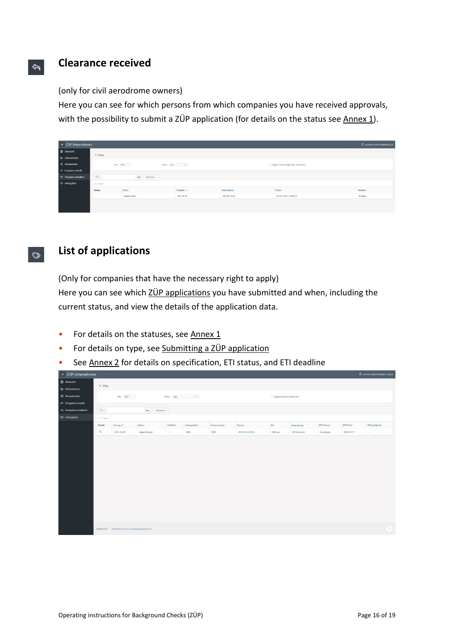## **Clearance received**

(only for civil aerodrome owners)

Here you can see for which persons from which companies you have received approvals, with the possibility to submit a ZÜP application (for details on the status se[e Annex 1\)](#page-16-0).

| $\equiv$ ZÜP-Unternehmen               |               |               |                       |              |                                     | P., Vorname.Nachname@bmk.gv.at |
|----------------------------------------|---------------|---------------|-----------------------|--------------|-------------------------------------|--------------------------------|
| <b>D</b> Ubersicht                     | · Filter      |               |                       |              |                                     |                                |
| [ta] Unternehmen                       |               |               |                       |              |                                     |                                |
| <b>八</b> Personenliste                 |               | $\mu$ nr 2021 | Status Alle<br>$\sim$ |              | Abgeschiossen/Aufgehoben ausbienden |                                |
| $\curvearrowright$ Freigaben (erteilt) |               |               |                       |              |                                     |                                |
| h Freigaben (erhalten)                 | $Q -$         | Los Attoren   |                       |              |                                     |                                |
| C Antragsliste                         | $T - 1$ von T |               |                       |              |                                     |                                |
|                                        | Antrag        | Status        | Freigabe J.F.         | Unternehmen  | Person                              | Tätigkeit                      |
|                                        |               | Abgeschlossen | 2021-03-08            | USP-ZUP Shop | WALLENSTEIN ALBRECHT                | Stratege                       |
|                                        |               |               |                       |              |                                     |                                |
|                                        |               |               |                       |              |                                     |                                |



<span id="page-15-0"></span> $\blacklozenge$ 

## <span id="page-15-1"></span>**List of applications**

(Only for companies that have the necessary right to apply) Here you can see which [ZÜP applications](#page-11-0) you have submitted and when, including the current status, and view the details of the application data.

- For details on the statuses, see [Annex 1](#page-16-0)
- For details on type, see [Submitting a ZÜP application](#page-12-0)
- See [Annex 2](#page-17-0) for details on specification, ETI status, and ETI deadline

| · Filter<br>$\begin{tabular}{ll} \hline \texttt{Status} & \texttt{Alle} & \texttt{~~} & \texttt{~~} \end{tabular}$<br>Jahr 2021<br>Abgeschlossen ausblenden<br>$\mathbb{Q} \vee$<br>Los Aktionen v<br>$1 - 1$ von $1$<br>Antrag $\downarrow \equiv$<br><b>ZÜP-Status</b><br>SUP guitig bis<br>Details<br><b>Status</b><br>Prüffrist<br>Antragsteller<br>Unternehmen<br>Person<br>Art<br>ZUP-Frist<br>Ausprägung<br>Q<br>2021-02-09<br>BMK<br>20P-neu<br>Abgeschlossen<br>BMK<br>MÜLLER ANDREA<br>ZÜP-Erweitert<br>Zuverlässig<br>2022-02-15<br>S.<br>25 | $\equiv$ ZÜP-Unternehmen          |  |  |  |  |  | P. Vorname.Nachname@bmk.gv.at |
|---------------------------------------------------------------------------------------------------------------------------------------------------------------------------------------------------------------------------------------------------------------------------------------------------------------------------------------------------------------------------------------------------------------------------------------------------------------------------------------------------------------------------------------------------------|-----------------------------------|--|--|--|--|--|-------------------------------|
|                                                                                                                                                                                                                                                                                                                                                                                                                                                                                                                                                         | <b>D</b> Ubersicht<br>Unternehmen |  |  |  |  |  |                               |
|                                                                                                                                                                                                                                                                                                                                                                                                                                                                                                                                                         | R Personenliste                   |  |  |  |  |  |                               |
|                                                                                                                                                                                                                                                                                                                                                                                                                                                                                                                                                         | $\Rightarrow$ Freigaben (erteilt) |  |  |  |  |  |                               |
|                                                                                                                                                                                                                                                                                                                                                                                                                                                                                                                                                         | G Freigaben (erhalten)            |  |  |  |  |  |                               |
|                                                                                                                                                                                                                                                                                                                                                                                                                                                                                                                                                         | Antragsliste                      |  |  |  |  |  |                               |
|                                                                                                                                                                                                                                                                                                                                                                                                                                                                                                                                                         |                                   |  |  |  |  |  |                               |
|                                                                                                                                                                                                                                                                                                                                                                                                                                                                                                                                                         |                                   |  |  |  |  |  |                               |
|                                                                                                                                                                                                                                                                                                                                                                                                                                                                                                                                                         |                                   |  |  |  |  |  |                               |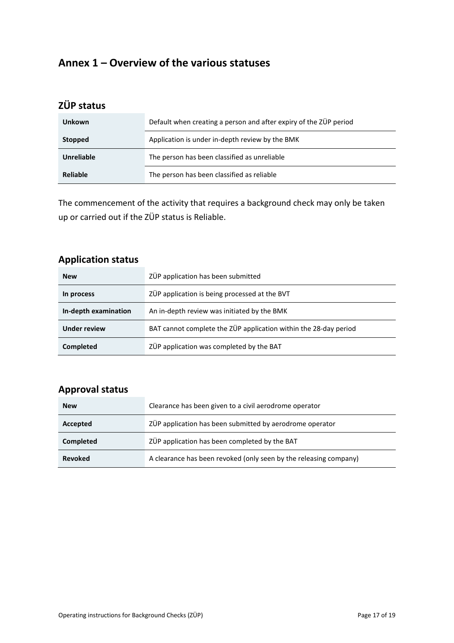## <span id="page-16-4"></span><span id="page-16-0"></span>**Annex 1 – Overview of the various statuses**

## <span id="page-16-1"></span>**ZÜP status**

| <b>Unkown</b>     | Default when creating a person and after expiry of the ZÜP period |
|-------------------|-------------------------------------------------------------------|
| Stopped           | Application is under in-depth review by the BMK                   |
| <b>Unreliable</b> | The person has been classified as unreliable                      |
| Reliable          | The person has been classified as reliable                        |

The commencement of the activity that requires a background check may only be taken up or carried out if the ZÜP status is Reliable.

## <span id="page-16-2"></span>**Application status**

| <b>New</b>           | ZÜP application has been submitted                               |
|----------------------|------------------------------------------------------------------|
| In process           | ZÜP application is being processed at the BVT                    |
| In-depth examination | An in-depth review was initiated by the BMK                      |
| <b>Under review</b>  | BAT cannot complete the ZÜP application within the 28-day period |
| Completed            | ZÜP application was completed by the BAT                         |

## <span id="page-16-3"></span>**Approval status**

| <b>New</b>     | Clearance has been given to a civil aerodrome operator            |
|----------------|-------------------------------------------------------------------|
| Accepted       | ZÜP application has been submitted by aerodrome operator          |
| Completed      | ZÜP application has been completed by the BAT                     |
| <b>Revoked</b> | A clearance has been revoked (only seen by the releasing company) |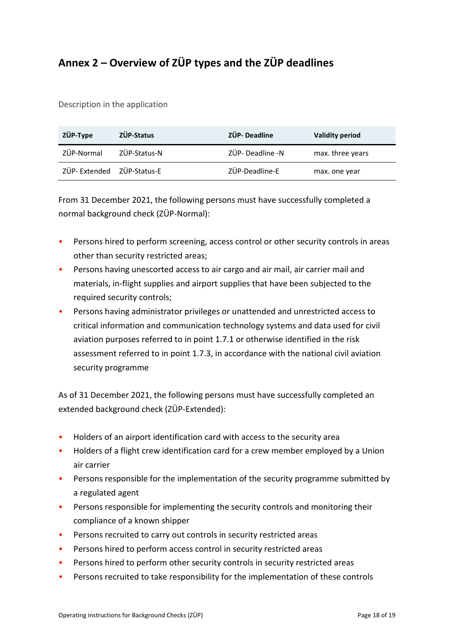# <span id="page-17-0"></span>**Annex 2 – Overview of ZÜP types and the ZÜP deadlines**

Description in the application

| ZÜP-Type      | ZÜP-Status   | ZÜP- Deadline    | <b>Validity period</b> |
|---------------|--------------|------------------|------------------------|
| ZÜP-Normal    | ZÜP-Status-N | ZÜP- Deadline -N | max. three years       |
| ZÜP- Extended | ZÜP-Status-E | ZÜP-Deadline-E   | max. one year          |

From 31 December 2021, the following persons must have successfully completed a normal background check (ZÜP-Normal):

- Persons hired to perform screening, access control or other security controls in areas other than security restricted areas;
- Persons having unescorted access to air cargo and air mail, air carrier mail and materials, in-flight supplies and airport supplies that have been subjected to the required security controls;
- Persons having administrator privileges or unattended and unrestricted access to critical information and communication technology systems and data used for civil aviation purposes referred to in point 1.7.1 or otherwise identified in the risk assessment referred to in point 1.7.3, in accordance with the national civil aviation security programme

As of 31 December 2021, the following persons must have successfully completed an extended background check (ZÜP-Extended):

- Holders of an airport identification card with access to the security area
- Holders of a flight crew identification card for a crew member employed by a Union air carrier
- Persons responsible for the implementation of the security programme submitted by a regulated agent
- Persons responsible for implementing the security controls and monitoring their compliance of a known shipper
- Persons recruited to carry out controls in security restricted areas
- Persons hired to perform access control in security restricted areas
- Persons hired to perform other security controls in security restricted areas
- Persons recruited to take responsibility for the implementation of these controls